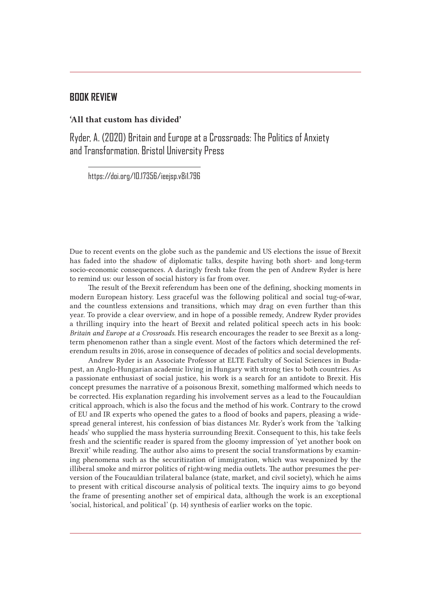## **BOOK REVIEW**

## 'All that custom has divided'

Ryder, A. (2020) Britain and Europe at a Crossroads: The Politics of Anxiety and Transformation. Bristol University Press

https://doi.org/10.17356/ieejsp.v8i1.796

Due to recent events on the globe such as the pandemic and US elections the issue of Brexit has faded into the shadow of diplomatic talks, despite having both short- and long-term socio-economic consequences. A daringly fresh take from the pen of Andrew Ryder is here to remind us: our lesson of social history is far from over.

The result of the Brexit referendum has been one of the defining, shocking moments in modern European history. Less graceful was the following political and social tug-of-war, and the countless extensions and transitions, which may drag on even further than this year. To provide a clear overview, and in hope of a possible remedy, Andrew Ryder provides a thrilling inquiry into the heart of Brexit and related political speech acts in his book: *Britain and Europe at a Crossroads*. His research encourages the reader to see Brexit as a longterm phenomenon rather than a single event. Most of the factors which determined the referendum results in 2016, arose in consequence of decades of politics and social developments.

Andrew Ryder is an Associate Professor at ELTE Factulty of Social Sciences in Budapest, an Anglo-Hungarian academic living in Hungary with strong ties to both countries. As a passionate enthusiast of social justice, his work is a search for an antidote to Brexit. His concept presumes the narrative of a poisonous Brexit, something malformed which needs to be corrected. His explanation regarding his involvement serves as a lead to the Foucauldian critical approach, which is also the focus and the method of his work. Contrary to the crowd of EU and IR experts who opened the gates to a flood of books and papers, pleasing a widespread general interest, his confession of bias distances Mr. Ryder's work from the 'talking heads' who supplied the mass hysteria surrounding Brexit. Consequent to this, his take feels fresh and the scientific reader is spared from the gloomy impression of 'yet another book on Brexit' while reading. The author also aims to present the social transformations by examining phenomena such as the securitization of immigration, which was weaponized by the illiberal smoke and mirror politics of right-wing media outlets. The author presumes the perversion of the Foucauldian trilateral balance (state, market, and civil society), which he aims to present with critical discourse analysis of political texts. The inquiry aims to go beyond the frame of presenting another set of empirical data, although the work is an exceptional 'social, historical, and political' (p. 14) synthesis of earlier works on the topic.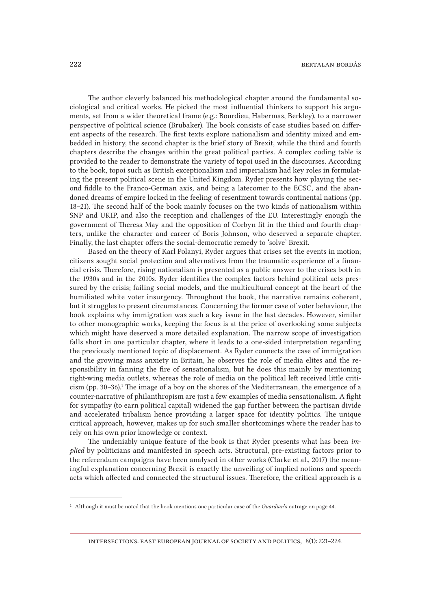The author cleverly balanced his methodological chapter around the fundamental sociological and critical works. He picked the most influential thinkers to support his arguments, set from a wider theoretical frame (e.g.: Bourdieu, Habermas, Berkley), to a narrower perspective of political science (Brubaker). The book consists of case studies based on different aspects of the research. The first texts explore nationalism and identity mixed and embedded in history, the second chapter is the brief story of Brexit, while the third and fourth chapters describe the changes within the great political parties. A complex coding table is provided to the reader to demonstrate the variety of topoi used in the discourses. According to the book, topoi such as British exceptionalism and imperialism had key roles in formulating the present political scene in the United Kingdom. Ryder presents how playing the second fiddle to the Franco-German axis, and being a latecomer to the ECSC, and the abandoned dreams of empire locked in the feeling of resentment towards continental nations (pp. 18–21). The second half of the book mainly focuses on the two kinds of nationalism within SNP and UKIP, and also the reception and challenges of the EU. Interestingly enough the government of Theresa May and the opposition of Corbyn fit in the third and fourth chapters, unlike the character and career of Boris Johnson, who deserved a separate chapter. Finally, the last chapter offers the social-democratic remedy to 'solve' Brexit.

Based on the theory of Karl Polanyi, Ryder argues that crises set the events in motion; citizens sought social protection and alternatives from the traumatic experience of a financial crisis. Therefore, rising nationalism is presented as a public answer to the crises both in the 1930s and in the 2010s. Ryder identifies the complex factors behind political acts pressured by the crisis; failing social models, and the multicultural concept at the heart of the humiliated white voter insurgency. Throughout the book, the narrative remains coherent, but it struggles to present circumstances. Concerning the former case of voter behaviour, the book explains why immigration was such a key issue in the last decades. However, similar to other monographic works, keeping the focus is at the price of overlooking some subjects which might have deserved a more detailed explanation. The narrow scope of investigation falls short in one particular chapter, where it leads to a one-sided interpretation regarding the previously mentioned topic of displacement. As Ryder connects the case of immigration and the growing mass anxiety in Britain, he observes the role of media elites and the responsibility in fanning the fire of sensationalism, but he does this mainly by mentioning right-wing media outlets, whereas the role of media on the political left received little criticism (pp. 30–36).1 The image of a boy on the shores of the Mediterranean, the emergence of a counter-narrative of philanthropism are just a few examples of media sensationalism. A fight for sympathy (to earn political capital) widened the gap further between the partisan divide and accelerated tribalism hence providing a larger space for identity politics. The unique critical approach, however, makes up for such smaller shortcomings where the reader has to rely on his own prior knowledge or context.

The undeniably unique feature of the book is that Ryder presents what has been *implied* by politicians and manifested in speech acts. Structural, pre-existing factors prior to the referendum campaigns have been analysed in other works (Clarke et al., 2017) the meaningful explanation concerning Brexit is exactly the unveiling of implied notions and speech acts which affected and connected the structural issues. Therefore, the critical approach is a

intersections. east european journal of society and politics, 8(1): 221–224.

<sup>1</sup> Although it must be noted that the book mentions one particular case of the *Guardian*'s outrage on page 44.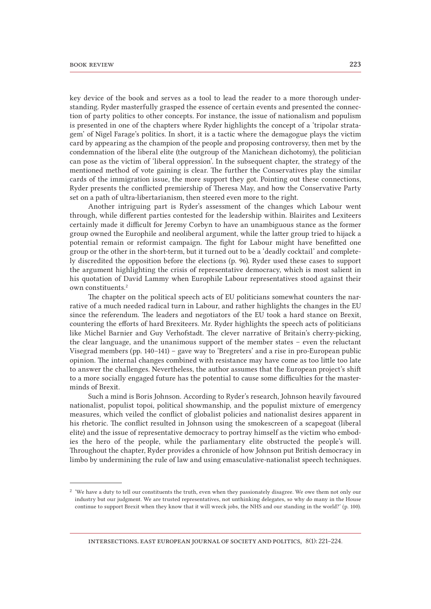key device of the book and serves as a tool to lead the reader to a more thorough understanding. Ryder masterfully grasped the essence of certain events and presented the connection of party politics to other concepts. For instance, the issue of nationalism and populism is presented in one of the chapters where Ryder highlights the concept of a 'tripolar stratagem' of Nigel Farage's politics. In short, it is a tactic where the demagogue plays the victim card by appearing as the champion of the people and proposing controversy, then met by the condemnation of the liberal elite (the outgroup of the Manichean dichotomy), the politician can pose as the victim of 'liberal oppression'. In the subsequent chapter, the strategy of the mentioned method of vote gaining is clear. The further the Conservatives play the similar cards of the immigration issue, the more support they got. Pointing out these connections, Ryder presents the conflicted premiership of Theresa May, and how the Conservative Party set on a path of ultra-libertarianism, then steered even more to the right.

Another intriguing part is Ryder's assessment of the changes which Labour went through, while different parties contested for the leadership within. Blairites and Lexiteers certainly made it difficult for Jeremy Corbyn to have an unambiguous stance as the former group owned the Europhile and neoliberal argument, while the latter group tried to hijack a potential remain or reformist campaign. The fight for Labour might have benefitted one group or the other in the short-term, but it turned out to be a 'deadly cocktail' and completely discredited the opposition before the elections (p. 96). Ryder used these cases to support the argument highlighting the crisis of representative democracy, which is most salient in his quotation of David Lammy when Europhile Labour representatives stood against their own constituents.2

The chapter on the political speech acts of EU politicians somewhat counters the narrative of a much needed radical turn in Labour, and rather highlights the changes in the EU since the referendum. The leaders and negotiators of the EU took a hard stance on Brexit, countering the efforts of hard Brexiteers. Mr. Ryder highlights the speech acts of politicians like Michel Barnier and Guy Verhofstadt. The clever narrative of Britain's cherry-picking, the clear language, and the unanimous support of the member states – even the reluctant Visegrad members (pp. 140–141) – gave way to 'Bregreters' and a rise in pro-European public opinion. The internal changes combined with resistance may have come as too little too late to answer the challenges. Nevertheless, the author assumes that the European project's shift to a more socially engaged future has the potential to cause some difficulties for the masterminds of Brexit.

Such a mind is Boris Johnson. According to Ryder's research, Johnson heavily favoured nationalist, populist topoi, political showmanship, and the populist mixture of emergency measures, which veiled the conflict of globalist policies and nationalist desires apparent in his rhetoric. The conflict resulted in Johnson using the smokescreen of a scapegoat (liberal elite) and the issue of representative democracy to portray himself as the victim who embodies the hero of the people, while the parliamentary elite obstructed the people's will. Throughout the chapter, Ryder provides a chronicle of how Johnson put British democracy in limbo by undermining the rule of law and using emasculative-nationalist speech techniques.

<sup>2</sup> 'We have a duty to tell our constituents the truth, even when they passionately disagree. We owe them not only our industry but our judgment. We are trusted representatives, not unthinking delegates, so why do many in the House continue to support Brexit when they know that it will wreck jobs, the NHS and our standing in the world?' (p. 100).